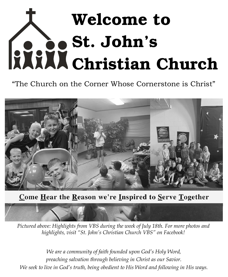# Welcome to St. John's Christian Church

"The Church on the Corner Whose Cornerstone is Christ"



### <u>Come Hear the Reason we're Inspired to Serve Together</u>

*Pictured above: Highlights from VBS during the week of July 18th. For more photos and highlights, visit "St. John's Christian Church VBS" on Facebook!*

*We are a community of faith founded upon God's Holy Word, preaching salvation through believing in Christ as our Savior. We seek to live in God's truth, being obedient to His Word and following in His ways.*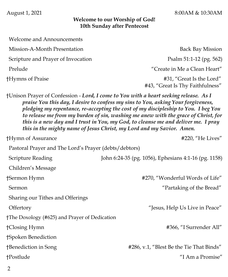#### **Welcome to our Worship of God! 10th Sunday after Pentecost**

 Welcome and Announcements Mission-A-Month Presentation Back Bay Mission Scripture and Prayer of Invocation Psalm 51:1-12 (pg. 562) Prelude The Prelude Theorem 2012 is the contract of the Create in Me a Clean Heart" †Hymns of Praise #31, "Great Is the Lord"

#43, "Great Is Thy Faithfulness"

†Unison Prayer of Confession - *Lord, I come to You with a heart seeking release. As I praise You this day, I desire to confess my sins to You, asking Your forgiveness, pledging my repentance, re-accepting the cost of my discipleship to You. I beg You to release me from my burden of sin, washing me anew with the grace of Christ, for this is a new day and I trust in You, my God, to cleanse me and deliver me. I pray this in the mighty name of Jesus Christ, my Lord and my Savior. Amen.* 

†Hymn of Assurance #220, "He Lives" Pastoral Prayer and The Lord's Prayer (debts/debtors) Scripture Reading John 6:24-35 (pg. 1056), Ephesians 4:1-16 (pg. 1158) Children's Message †Sermon Hymn #270, "Wonderful Words of Life" Sermon "Partaking of the Bread" Sharing our Tithes and Offerings Offertory "Jesus, Help Us Live in Peace" †The Doxology (#625) and Prayer of Dedication †Closing Hymn #366, "I Surrender All" †Spoken Benediction †Benediction in Song #286, v.1, "Blest Be the Tie That Binds" †Postlude "I Am a Promise"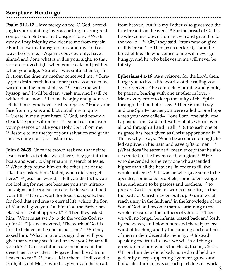#### **Scripture Readings**

**Psalm 51:1-12** Have mercy on me, O God, according to your unfailing love; according to your great compassion blot out my transgressions. <sup>2</sup> Wash away all my iniquity and cleanse me from my sin. <sup>3</sup> For I know my transgressions, and my sin is always before me. <sup>4</sup> Against you, you only, have I sinned and done what is evil in your sight, so that you are proved right when you speak and justified when you judge. <sup>5</sup> Surely I was sinful at birth, sinful from the time my mother conceived me. <sup>6</sup> Surely you desire truth in the inner parts; you teach me wisdom in the inmost place. <sup>7</sup> Cleanse me with hyssop, and I will be clean; wash me, and I will be whiter than snow. <sup>8</sup> Let me hear joy and gladness; let the bones you have crushed rejoice. <sup>9</sup> Hide your face from my sins and blot out all my iniquity. <sup>10</sup> Create in me a pure heart, O God, and renew a steadfast spirit within me. <sup>11</sup> Do not cast me from your presence or take your Holy Spirit from me. <sup>12</sup> Restore to me the joy of your salvation and grant me a willing spirit, to sustain me.

**John 6:24-35** Once the crowd realized that neither Jesus nor his disciples were there, they got into the boats and went to Capernaum in search of Jesus. <sup>25</sup> When they found him on the other side of the lake, they asked him, "Rabbi, when did you get here?" <sup>26</sup> Jesus answered, "I tell you the truth, you are looking for me, not because you saw miraculous signs but because you ate the loaves and had your fill. <sup>27</sup> Do not work for food that spoils, but for food that endures to eternal life, which the Son of Man will give you. On him God the Father has placed his seal of approval." <sup>28</sup> Then they asked him, "What must we do to do the works God requires?" <sup>29</sup> Jesus answered, "The work of God is this: to believe in the one he has sent." <sup>30</sup> So they asked him, "What miraculous sign then will you give that we may see it and believe you? What will you do? <sup>31</sup> Our forefathers ate the manna in the desert; as it is written: 'He gave them bread from heaven to eat.'" <sup>32</sup> Jesus said to them, "I tell you the truth, it is not Moses who has given you the bread

from heaven, but it is my Father who gives you the true bread from heaven. <sup>33</sup> For the bread of God is he who comes down from heaven and gives life to the world." <sup>34</sup> "Sir," they said, "from now on give us this bread." <sup>35</sup> Then Jesus declared, "I am the bread of life. He who comes to me will never go hungry, and he who believes in me will never be thirsty.

**Ephesians 4:1-16** As a prisoner for the Lord, then, I urge you to live a life worthy of the calling you have received. <sup>2</sup> Be completely humble and gentle; be patient, bearing with one another in love. <sup>3</sup> Make every effort to keep the unity of the Spirit through the bond of peace. <sup>4</sup> There is one body and one Spirit-- just as you were called to one hope when you were called-- <sup>5</sup> one Lord, one faith, one baptism; <sup>6</sup> one God and Father of all, who is over all and through all and in all. <sup>7</sup> But to each one of us grace has been given as Christ apportioned it. <sup>8</sup> This is why it says: "When he ascended on high, he led captives in his train and gave gifts to men." 9 (What does "he ascended" mean except that he also descended to the lower, earthly regions? <sup>10</sup> He who descended is the very one who ascended higher than all the heavens, in order to fill the whole universe.) <sup>11</sup> It was he who gave some to be apostles, some to be prophets, some to be evangelists, and some to be pastors and teachers, <sup>12</sup> to prepare God's people for works of service, so that the body of Christ may be built up <sup>13</sup> until we all reach unity in the faith and in the knowledge of the Son of God and become mature, attaining to the whole measure of the fullness of Christ. <sup>14</sup> Then we will no longer be infants, tossed back and forth by the waves, and blown here and there by every wind of teaching and by the cunning and craftiness of men in their deceitful scheming. <sup>15</sup> Instead, speaking the truth in love, we will in all things grow up into him who is the Head, that is, Christ. <sup>16</sup> From him the whole body, joined and held together by every supporting ligament, grows and builds itself up in love, as each part does its work.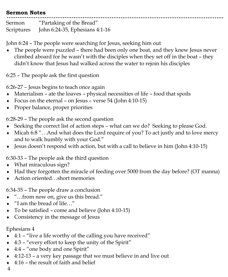#### **Sermon Notes**

Sermon "Partaking of the Bread" Scriptures John 6:24-35, Ephesians 4:1-16

John 6:24 – The people were searching for Jesus, seeking him out

 The people were puzzled – there had been only one boat, and they knew Jesus never climbed aboard for he wasn't with the disciples when they set off in the boat – they didn't know that Jesus had walked across the water to rejoin his disciples

6:25 – The people ask the first question

6:26-27 – Jesus begins to teach once again

- Materialism ate the loaves physical necessities of life food that spoils
- Focus on the eternal on Jesus verse 54 (John 4:10-15)
- Proper balance, proper priorities

6:28-29 – The people ask the second question

- Seeking the correct list of action steps what can we do? Seeking to please God.
- Micah 6:8 "…And what does the Lord require of you? To act justly and to love mercy and to walk humbly with your God."
- $\bullet$  Jesus doesn't respond with action, but with a call to believe in him (John 4:10-15)

6:30-33 – The people ask the third question

- What miraculous sign?
- Had they forgotten the miracle of feeding over 5000 from the day before? (OT manna)
- ◆ Action oriented…short memories

6:34-35 – The people draw a conclusion

- "…from now on, give us this bread."
- "I am the bread of life…"
- $\bullet$  To be satisfied come and believe (John 4:10-15)
- Consistency in the message of Jesus

#### Ephesians 4

- $\leftrightarrow$  4:1 "live a life worthy of the calling you have received"
- 4:3 "every effort to keep the unity of the Spirit"
- ◆ 4:4 "one body and one Spirit"
- 4:12-13 a very key passage that we must believe in and live out
- 4:16 the result of faith and belief

4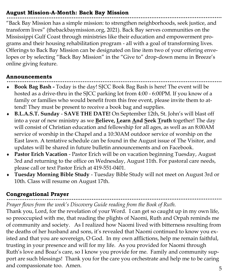#### **August Mission-A-Month: Back Bay Mission**

"Back Bay Mission has a simple mission: to strengthen neighborhoods, seek justice, and transform lives" (thebackbaymission.org, 2021). Back Bay serves communities on the Mississippi Gulf Coast through ministries like their education and empowerment programs and their housing rehabilitation program - all with a goal of transforming lives. Offerings to Back Bay Mission can be designated on line item two of your offering envelopes or by selecting "Back Bay Mission" in the "Give to" drop-down menu in Breeze's online giving feature.

#### **Announcements**

- **Book Bag Bash -** Today is the day! SJCC Book Bag Bash is here! The event will be hosted as a drive-thru in the SJCC parking lot from 4:00 - 6:00PM. If you know of a family or families who would benefit from this free event, please invite them to attend! They must be present to receive a book bag and supplies.
- **B.L.A.S.T. Sunday SAVE THE DATE!** On September 12th, St. John's will blast off into a year of new ministry as we **Believe, Learn And Seek Truth** together! The day will consist of Christian education and fellowship for all ages, as well as an 8:00AM service of worship in the Chapel and a 10:30AM outdoor service of worship on the East lawn. A tentative schedule can be found in the August issue of The Visitor, and updates will be shared in future bulletin announcements and on Facebook.
- **Pastor Erich Vacation**  Pastor Erich will be on vacation beginning Tuesday, August 3rd and returning to the office on Wednesday, August 11th. For pastoral care needs, please call or text Pastor Erich at 419-551-0401.
- **Tuesday Morning Bible Study**  Tuesday Bible Study will not meet on August 3rd or 10th. Class will resume on August 17th.

#### **Congregational Prayer**

*Prayer flows from the week's Discovery Guide reading from the Book of Ruth.* 

Thank you, Lord, for the revelation of your Word. I can get so caught up in my own life, so preoccupied with me, that reading the plights of Naomi, Ruth and Orpah reminds me of community and society. As I realized how Naomi lived with bitterness resulting from the deaths of her husband and sons, it's revealed that Naomi continued to know you existed and that you are sovereign, O God. In my own afflictions, help me remain faithful, trusting in your presence and will for my life. As you provided for Naomi through Ruth's love and Boaz's care, so I know you provide for me. Family and community support are such blessings! Thank you for the care you orchestrate and help me to be caring and compassionate too. Amen.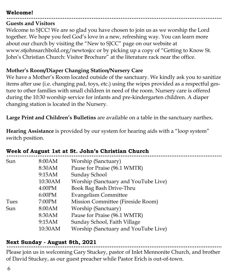#### **Welcome!**

#### **Guests and Visitors**

Welcome to SJCC! We are so glad you have chosen to join us as we worship the Lord together. We hope you feel God's love in a new, refreshing way. You can learn more about our church by visiting the "New to SJCC" page on our website at www.stjohnsarchbold.org/newtosjcc or by picking up a copy of "Getting to Know St. John's Christian Church: Visitor Brochure" at the literature rack near the office.

#### **Mother's Room/Diaper Changing Station/Nursery Care**

We have a Mother's Room located outside of the sanctuary. We kindly ask you to sanitize items after use (i.e. changing pad, toys, etc.) using the wipes provided as a respectful gesture to other families with small children in need of the room. Nursery care is offered during the 10:30 worship service for infants and pre-kindergarten children. A diaper changing station is located in the Nursery.

**Large Print and Children's Bulletins** are available on a table in the sanctuary narthex.

**Hearing Assistance** is provided by our system for hearing aids with a "loop system" switch position.

. . . . . .

|      | ween of hugust lat ut ot, comm a christian chuich |                                      |
|------|---------------------------------------------------|--------------------------------------|
| Sun  | 8:00AM                                            | Worship (Sanctuary)                  |
|      | 8:30AM                                            | Pause for Praise (96.1 WMTR)         |
|      | 9:15AM                                            | Sunday School                        |
|      | 10:30AM                                           | Worship (Sanctuary and YouTube Live) |
|      | 4:00PM                                            | Book Bag Bash Drive-Thru             |
|      | 6:00PM                                            | <b>Evangelism Committee</b>          |
| Tues | 7:00PM                                            | Mission Committee (Fireside Room)    |
| Sun  | 8:00AM                                            | Worship (Sanctuary)                  |
|      | 8:30AM                                            | Pause for Praise (96.1 WMTR)         |
|      | 9:15AM                                            | Sunday School, Faith Village         |
|      | 10:30AM                                           | Worship (Sanctuary and YouTube Live) |
|      |                                                   |                                      |

## **Week of August 1st at St. John's Christian Church**

#### **Next Sunday - August 8th, 2021**

Please join us in welcoming Gary Stuckey, pastor of Inlet Mennonite Church, and brother of David Stuckey, as our guest preacher while Pastor Erich is out-of-town.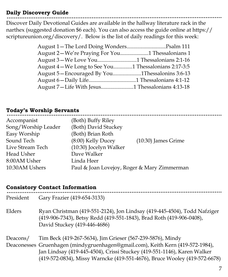#### **Daily Discovery Guide**

Discover Daily Devotional Guides are available in the hallway literature rack in the narthex (suggested donation \$6 each). You can also access the guide online at https:// scriptureunion.org/discovery/. Below is the list of daily readings for this week:

| August 2-We're Praying For You1 Thessalonians 1       |  |
|-------------------------------------------------------|--|
|                                                       |  |
| August 4 – We Long to See You1 Thessalonians 2:17-3:5 |  |
| August 5—Encouraged By You1Thessalonins 3:6-13        |  |
|                                                       |  |
|                                                       |  |
|                                                       |  |

#### **Today's Worship Servants**

| (Both) Buffy Riley                          |                       |
|---------------------------------------------|-----------------------|
| (Both) David Stuckey                        |                       |
| (Both) Brian Roth                           |                       |
| $(8:00)$ Kelly Ducey                        | $(10:30)$ James Grime |
| (10:30) Jocelyn Walker                      |                       |
| Dave Walker                                 |                       |
| Linda Heer                                  |                       |
| Paul & Joan Lovejoy, Roger & Mary Zimmerman |                       |
|                                             |                       |

#### **Consistory Contact Information**

| President | Gary Frazier (419-654-3133)                                                                                                                                                                                                                                                                          |
|-----------|------------------------------------------------------------------------------------------------------------------------------------------------------------------------------------------------------------------------------------------------------------------------------------------------------|
| Elders    | Ryan Christman (419-551-2124), Jon Lindsay (419-445-4504), Todd Nafziger<br>(419-906-7343), Betsy Redd (419-551-1843), Brad Roth (419-906-0408),<br>David Stuckey (419-446-4686)                                                                                                                     |
| Deacons/  | Tim Beck (419-267-5634), Jim Grieser (567-239-5876), Mindy<br>Deaconesses Gruenhagen (mindygruenhagen@gmail.com), Keith Kern (419-572-1984),<br>Jan Lindsay (419-445-4504), Crissi Stuckey (419-551-1146), Karen Walker<br>(419-572-0834), Missy Warncke (419-551-4676), Bruce Wooley (419-572-6678) |